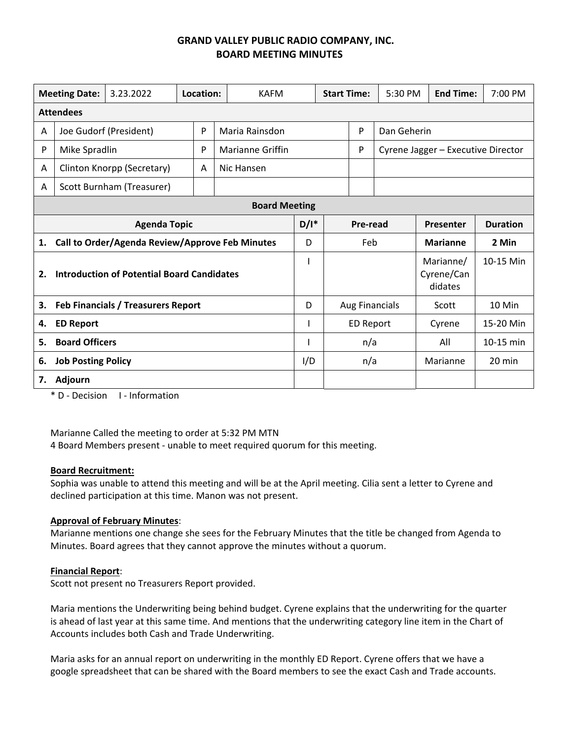# **GRAND VALLEY PUBLIC RADIO COMPANY, INC. BOARD MEETING MINUTES**

| <b>Meeting Date:</b><br>3.23.2022                       |                                                 |                           | Location: |   | <b>KAFM</b>             |     | <b>Start Time:</b> |                       | 5:30 PM                            | <b>End Time:</b>                   | 7:00 PM   |  |
|---------------------------------------------------------|-------------------------------------------------|---------------------------|-----------|---|-------------------------|-----|--------------------|-----------------------|------------------------------------|------------------------------------|-----------|--|
| <b>Attendees</b>                                        |                                                 |                           |           |   |                         |     |                    |                       |                                    |                                    |           |  |
| A                                                       | Joe Gudorf (President)                          |                           |           | P | Maria Rainsdon          |     | P                  |                       | Dan Geherin                        |                                    |           |  |
| P                                                       | Mike Spradlin                                   |                           |           | P | <b>Marianne Griffin</b> |     |                    | P                     | Cyrene Jagger - Executive Director |                                    |           |  |
| A                                                       | Clinton Knorpp (Secretary)                      |                           |           | A | Nic Hansen              |     |                    |                       |                                    |                                    |           |  |
| Α                                                       |                                                 | Scott Burnham (Treasurer) |           |   |                         |     |                    |                       |                                    |                                    |           |  |
| <b>Board Meeting</b>                                    |                                                 |                           |           |   |                         |     |                    |                       |                                    |                                    |           |  |
| <b>Agenda Topic</b>                                     |                                                 |                           |           |   | $D/I^*$                 |     | Pre-read           |                       | Presenter                          | <b>Duration</b>                    |           |  |
| 1.                                                      | Call to Order/Agenda Review/Approve Feb Minutes |                           |           |   |                         |     |                    | Feb                   |                                    | <b>Marianne</b>                    | 2 Min     |  |
| <b>Introduction of Potential Board Candidates</b><br>2. |                                                 |                           |           |   |                         |     |                    |                       |                                    | Marianne/<br>Cyrene/Can<br>didates | 10-15 Min |  |
| 3.<br>Feb Financials / Treasurers Report                |                                                 |                           |           |   |                         | D   |                    | <b>Aug Financials</b> |                                    | Scott                              | 10 Min    |  |
| 4.<br><b>ED Report</b>                                  |                                                 |                           |           |   |                         |     |                    | ED Report             |                                    | Cyrene                             | 15-20 Min |  |
| 5.                                                      | <b>Board Officers</b>                           |                           |           |   |                         |     |                    | n/a                   |                                    | All                                | 10-15 min |  |
| <b>Job Posting Policy</b><br>6.                         |                                                 |                           |           |   |                         | I/D |                    | n/a                   |                                    | Marianne                           | 20 min    |  |
| Adjourn<br>7.                                           |                                                 |                           |           |   |                         |     |                    |                       |                                    |                                    |           |  |

\* D ‐ Decision I ‐ Information

Marianne Called the meeting to order at 5:32 PM MTN

4 Board Members present ‐ unable to meet required quorum for this meeting.

#### **Board Recruitment:**

Sophia was unable to attend this meeting and will be at the April meeting. Cilia sent a letter to Cyrene and declined participation at this time. Manon was not present.

#### **Approval of February Minutes**:

Marianne mentions one change she sees for the February Minutes that the title be changed from Agenda to Minutes. Board agrees that they cannot approve the minutes without a quorum.

#### **Financial Report**:

Scott not present no Treasurers Report provided.

Maria mentions the Underwriting being behind budget. Cyrene explains that the underwriting for the quarter is ahead of last year at this same time. And mentions that the underwriting category line item in the Chart of Accounts includes both Cash and Trade Underwriting.

Maria asks for an annual report on underwriting in the monthly ED Report. Cyrene offers that we have a google spreadsheet that can be shared with the Board members to see the exact Cash and Trade accounts.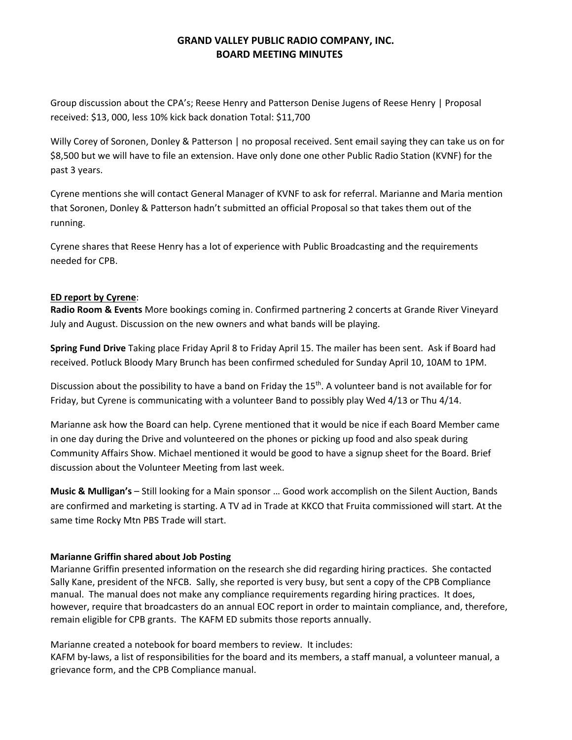## **GRAND VALLEY PUBLIC RADIO COMPANY, INC. BOARD MEETING MINUTES**

Group discussion about the CPA's; Reese Henry and Patterson Denise Jugens of Reese Henry | Proposal received: \$13, 000, less 10% kick back donation Total: \$11,700

Willy Corey of Soronen, Donley & Patterson | no proposal received. Sent email saying they can take us on for \$8,500 but we will have to file an extension. Have only done one other Public Radio Station (KVNF) for the past 3 years.

Cyrene mentions she will contact General Manager of KVNF to ask for referral. Marianne and Maria mention that Soronen, Donley & Patterson hadn't submitted an official Proposal so that takes them out of the running.

Cyrene shares that Reese Henry has a lot of experience with Public Broadcasting and the requirements needed for CPB.

### **ED report by Cyrene**:

**Radio Room & Events** More bookings coming in. Confirmed partnering 2 concerts at Grande River Vineyard July and August. Discussion on the new owners and what bands will be playing.

**Spring Fund Drive** Taking place Friday April 8 to Friday April 15. The mailer has been sent. Ask if Board had received. Potluck Bloody Mary Brunch has been confirmed scheduled for Sunday April 10, 10AM to 1PM.

Discussion about the possibility to have a band on Friday the 15<sup>th</sup>. A volunteer band is not available for for Friday, but Cyrene is communicating with a volunteer Band to possibly play Wed 4/13 or Thu 4/14.

Marianne ask how the Board can help. Cyrene mentioned that it would be nice if each Board Member came in one day during the Drive and volunteered on the phones or picking up food and also speak during Community Affairs Show. Michael mentioned it would be good to have a signup sheet for the Board. Brief discussion about the Volunteer Meeting from last week.

**Music & Mulligan's** – Still looking for a Main sponsor … Good work accomplish on the Silent Auction, Bands are confirmed and marketing is starting. A TV ad in Trade at KKCO that Fruita commissioned will start. At the same time Rocky Mtn PBS Trade will start.

### **Marianne Griffin shared about Job Posting**

Marianne Griffin presented information on the research she did regarding hiring practices. She contacted Sally Kane, president of the NFCB. Sally, she reported is very busy, but sent a copy of the CPB Compliance manual. The manual does not make any compliance requirements regarding hiring practices. It does, however, require that broadcasters do an annual EOC report in order to maintain compliance, and, therefore, remain eligible for CPB grants. The KAFM ED submits those reports annually.

Marianne created a notebook for board members to review. It includes:

KAFM by-laws, a list of responsibilities for the board and its members, a staff manual, a volunteer manual, a grievance form, and the CPB Compliance manual.